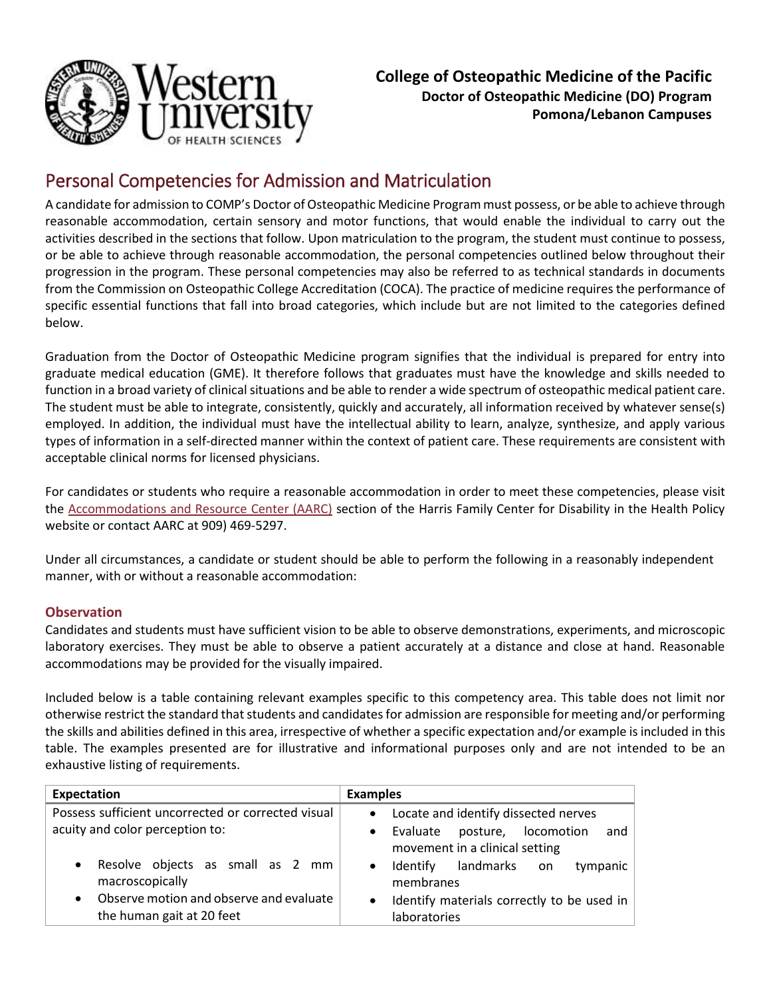

# Personal Competencies for Admission and Matriculation

A candidate for admission to COMP's Doctor of Osteopathic Medicine Program must possess, or be able to achieve through reasonable accommodation, certain sensory and motor functions, that would enable the individual to carry out the activities described in the sections that follow. Upon matriculation to the program, the student must continue to possess, or be able to achieve through reasonable accommodation, the personal competencies outlined below throughout their progression in the program. These personal competencies may also be referred to as technical standards in documents from the Commission on Osteopathic College Accreditation (COCA). The practice of medicine requires the performance of specific essential functions that fall into broad categories, which include but are not limited to the categories defined below.

Graduation from the Doctor of Osteopathic Medicine program signifies that the individual is prepared for entry into graduate medical education (GME). It therefore follows that graduates must have the knowledge and skills needed to function in a broad variety of clinical situations and be able to render a wide spectrum of osteopathic medical patient care. The student must be able to integrate, consistently, quickly and accurately, all information received by whatever sense(s) employed. In addition, the individual must have the intellectual ability to learn, analyze, synthesize, and apply various types of information in a self-directed manner within the context of patient care. These requirements are consistent with acceptable clinical norms for licensed physicians.

For candidates or students who require a reasonable accommodation in order to meet these competencies, please visit the [Accommodations and Resource Center \(AARC\)](http://www.westernu.edu/cdhp/cdhp-aarc-welcome/) section of the Harris Family Center for Disability in the Health Policy website or contact AARC at 909) 469-5297.

Under all circumstances, a candidate or student should be able to perform the following in a reasonably independent manner, with or without a reasonable accommodation:

## **Observation**

Candidates and students must have sufficient vision to be able to observe demonstrations, experiments, and microscopic laboratory exercises. They must be able to observe a patient accurately at a distance and close at hand. Reasonable accommodations may be provided for the visually impaired.

Included below is a table containing relevant examples specific to this competency area. This table does not limit nor otherwise restrict the standard that students and candidates for admission are responsible for meeting and/or performing the skills and abilities defined in this area, irrespective of whether a specific expectation and/or example is included in this table. The examples presented are for illustrative and informational purposes only and are not intended to be an exhaustive listing of requirements.

| <b>Expectation</b>                                                                                                       | <b>Examples</b>                                                                                                                            |
|--------------------------------------------------------------------------------------------------------------------------|--------------------------------------------------------------------------------------------------------------------------------------------|
| Possess sufficient uncorrected or corrected visual<br>acuity and color perception to:                                    | Locate and identify dissected nerves<br>$\bullet$<br>posture, locomotion<br>Evaluate<br>and<br>$\bullet$<br>movement in a clinical setting |
| Resolve objects as small as 2 mm<br>$\bullet$<br>macroscopically<br>Observe motion and observe and evaluate<br>$\bullet$ | landmarks<br>Identify<br>tympanic<br>on.<br>$\bullet$<br>membranes<br>Identify materials correctly to be used in<br>$\bullet$              |
| the human gait at 20 feet                                                                                                | laboratories                                                                                                                               |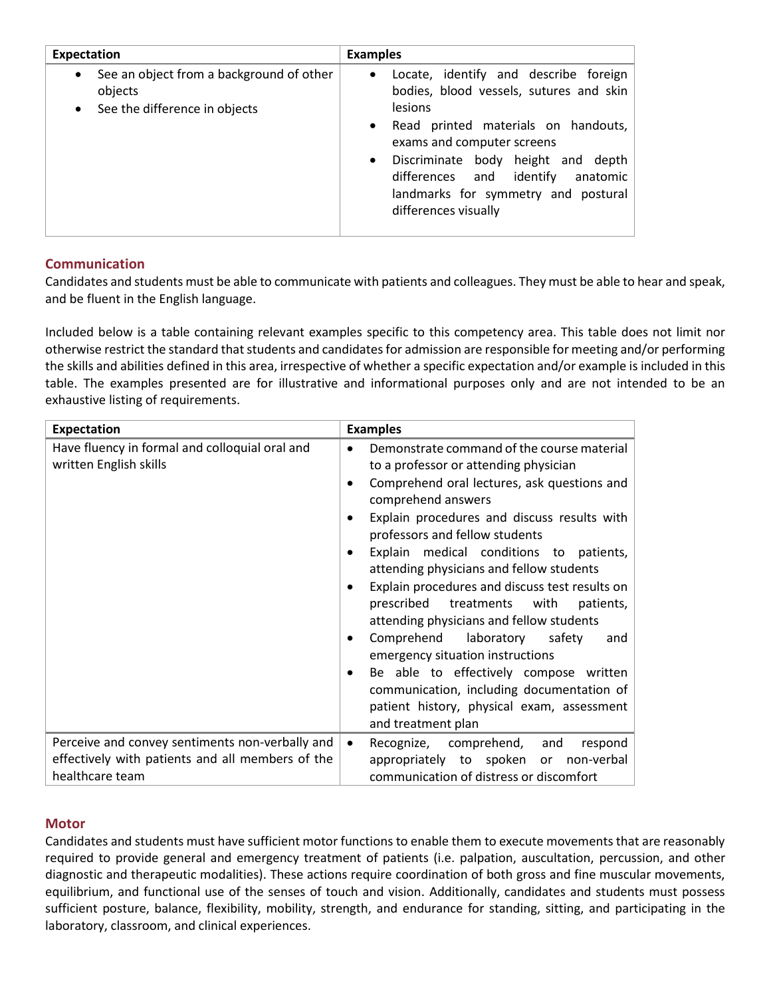| <b>Expectation</b>                                                                                             | <b>Examples</b>                                                                                                                                                                                                                                                                                                                               |
|----------------------------------------------------------------------------------------------------------------|-----------------------------------------------------------------------------------------------------------------------------------------------------------------------------------------------------------------------------------------------------------------------------------------------------------------------------------------------|
| See an object from a background of other<br>$\bullet$<br>objects<br>See the difference in objects<br>$\bullet$ | Locate, identify and describe foreign<br>$\bullet$<br>bodies, blood vessels, sutures and skin<br><b>lesions</b><br>Read printed materials on handouts,<br>$\bullet$<br>exams and computer screens<br>• Discriminate body height and depth<br>differences and identify anatomic<br>landmarks for symmetry and postural<br>differences visually |

### **Communication**

Candidates and students must be able to communicate with patients and colleagues. They must be able to hear and speak, and be fluent in the English language.

Included below is a table containing relevant examples specific to this competency area. This table does not limit nor otherwise restrict the standard that students and candidates for admission are responsible for meeting and/or performing the skills and abilities defined in this area, irrespective of whether a specific expectation and/or example is included in this table. The examples presented are for illustrative and informational purposes only and are not intended to be an exhaustive listing of requirements.

| <b>Expectation</b>                                                                                                     | <b>Examples</b>                                                                                                                                                                                                                                                                                                                                                                                                                                                                                                                                                                                                                                                                                                                                                                                    |
|------------------------------------------------------------------------------------------------------------------------|----------------------------------------------------------------------------------------------------------------------------------------------------------------------------------------------------------------------------------------------------------------------------------------------------------------------------------------------------------------------------------------------------------------------------------------------------------------------------------------------------------------------------------------------------------------------------------------------------------------------------------------------------------------------------------------------------------------------------------------------------------------------------------------------------|
| Have fluency in formal and colloquial oral and<br>written English skills                                               | Demonstrate command of the course material<br>$\bullet$<br>to a professor or attending physician<br>Comprehend oral lectures, ask questions and<br>$\bullet$<br>comprehend answers<br>Explain procedures and discuss results with<br>$\bullet$<br>professors and fellow students<br>Explain medical conditions to patients,<br>$\bullet$<br>attending physicians and fellow students<br>Explain procedures and discuss test results on<br>$\bullet$<br>prescribed treatments with<br>patients,<br>attending physicians and fellow students<br>Comprehend laboratory safety<br>and<br>$\bullet$<br>emergency situation instructions<br>Be able to effectively compose written<br>٠<br>communication, including documentation of<br>patient history, physical exam, assessment<br>and treatment plan |
| Perceive and convey sentiments non-verbally and<br>effectively with patients and all members of the<br>healthcare team | Recognize, comprehend,<br>and<br>respond<br>$\bullet$<br>appropriately to spoken or<br>non-verbal<br>communication of distress or discomfort                                                                                                                                                                                                                                                                                                                                                                                                                                                                                                                                                                                                                                                       |

### **Motor**

Candidates and students must have sufficient motor functions to enable them to execute movements that are reasonably required to provide general and emergency treatment of patients (i.e. palpation, auscultation, percussion, and other diagnostic and therapeutic modalities). These actions require coordination of both gross and fine muscular movements, equilibrium, and functional use of the senses of touch and vision. Additionally, candidates and students must possess sufficient posture, balance, flexibility, mobility, strength, and endurance for standing, sitting, and participating in the laboratory, classroom, and clinical experiences.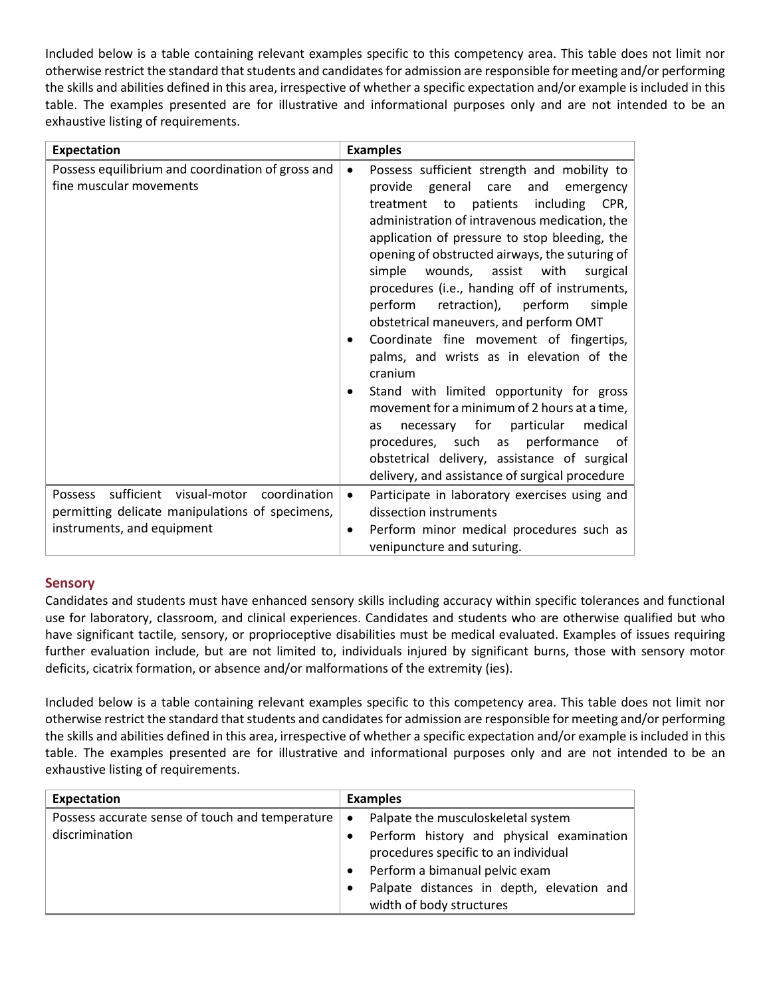Included below is a table containing relevant examples specific to this competency area. This table does not limit nor otherwise restrict the standard that students and candidates for admission are responsible for meeting and/or performing the skills and abilities defined in this area, irrespective of whether a specific expectation and/or example is included in this table. The examples presented are for illustrative and informational purposes only and are not intended to be an exhaustive listing of requirements.

| <b>Expectation</b>                                                                                                                      | <b>Examples</b>                                                                                                                                                                                                                                                                                                                                                                                                                                                                                                                                                                                                                                                                                                                                                                                                                                                                                            |
|-----------------------------------------------------------------------------------------------------------------------------------------|------------------------------------------------------------------------------------------------------------------------------------------------------------------------------------------------------------------------------------------------------------------------------------------------------------------------------------------------------------------------------------------------------------------------------------------------------------------------------------------------------------------------------------------------------------------------------------------------------------------------------------------------------------------------------------------------------------------------------------------------------------------------------------------------------------------------------------------------------------------------------------------------------------|
| Possess equilibrium and coordination of gross and<br>fine muscular movements                                                            | Possess sufficient strength and mobility to<br>$\bullet$<br>general<br>care<br>and<br>provide<br>emergency<br>treatment<br>to<br>patients<br>including<br>CPR,<br>administration of intravenous medication, the<br>application of pressure to stop bleeding, the<br>opening of obstructed airways, the suturing of<br>simple wounds, assist with<br>surgical<br>procedures (i.e., handing off of instruments,<br>perform<br>retraction), perform<br>simple<br>obstetrical maneuvers, and perform OMT<br>Coordinate fine movement of fingertips,<br>$\bullet$<br>palms, and wrists as in elevation of the<br>cranium<br>Stand with limited opportunity for gross<br>movement for a minimum of 2 hours at a time,<br>necessary for<br>particular<br>medical<br>as<br>procedures, such as performance<br>of<br>obstetrical delivery, assistance of surgical<br>delivery, and assistance of surgical procedure |
| sufficient visual-motor coordination<br><b>Possess</b><br>permitting delicate manipulations of specimens,<br>instruments, and equipment | Participate in laboratory exercises using and<br>$\bullet$<br>dissection instruments<br>Perform minor medical procedures such as<br>$\bullet$<br>venipuncture and suturing.                                                                                                                                                                                                                                                                                                                                                                                                                                                                                                                                                                                                                                                                                                                                |

### **Sensory**

Candidates and students must have enhanced sensory skills including accuracy within specific tolerances and functional use for laboratory, classroom, and clinical experiences. Candidates and students who are otherwise qualified but who have significant tactile, sensory, or proprioceptive disabilities must be medical evaluated. Examples of issues requiring further evaluation include, but are not limited to, individuals injured by significant burns, those with sensory motor deficits, cicatrix formation, or absence and/or malformations of the extremity (ies).

Included below is a table containing relevant examples specific to this competency area. This table does not limit nor otherwise restrict the standard that students and candidates for admission are responsible for meeting and/or performing the skills and abilities defined in this area, irrespective of whether a specific expectation and/or example is included in this table. The examples presented are for illustrative and informational purposes only and are not intended to be an exhaustive listing of requirements.

| Expectation                                                         | <b>Examples</b>                                                                                                                     |
|---------------------------------------------------------------------|-------------------------------------------------------------------------------------------------------------------------------------|
| Possess accurate sense of touch and temperature  <br>discrimination | Palpate the musculoskeletal system<br>$\bullet$<br>Perform history and physical examination<br>procedures specific to an individual |
|                                                                     | Perform a bimanual pelvic exam                                                                                                      |
|                                                                     | Palpate distances in depth, elevation and<br>width of body structures                                                               |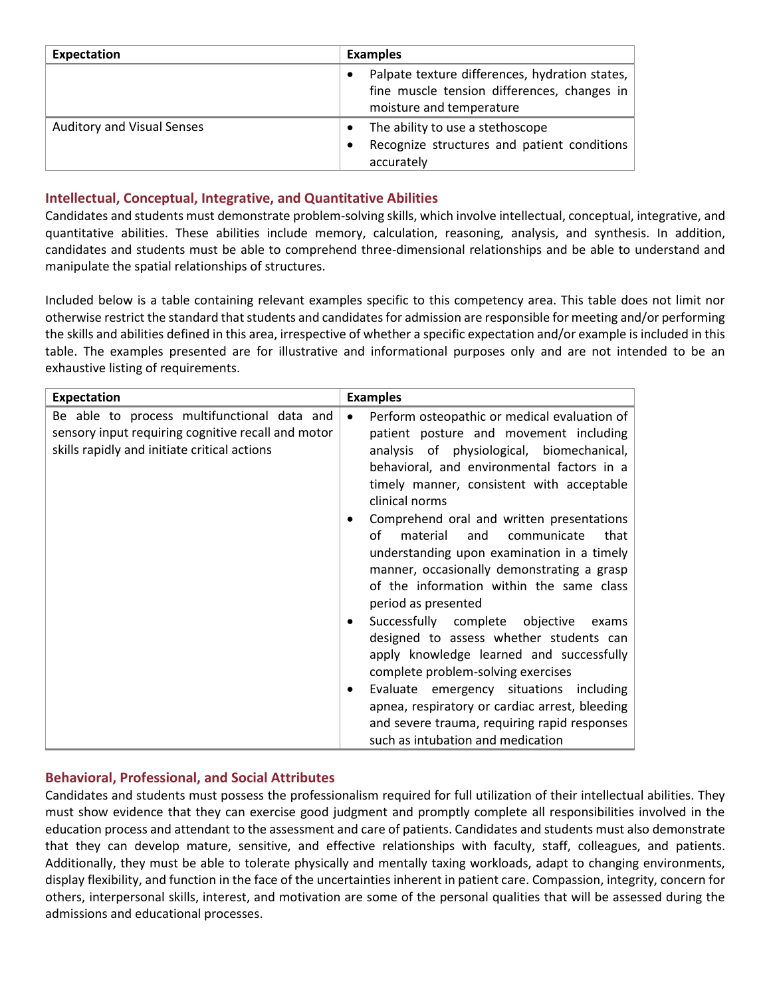| <b>Expectation</b>                | <b>Examples</b>                                                                                                                        |
|-----------------------------------|----------------------------------------------------------------------------------------------------------------------------------------|
|                                   | Palpate texture differences, hydration states,<br>$\bullet$<br>fine muscle tension differences, changes in<br>moisture and temperature |
| <b>Auditory and Visual Senses</b> | The ability to use a stethoscope<br>$\bullet$<br>Recognize structures and patient conditions<br>$\bullet$<br>accurately                |

### **Intellectual, Conceptual, Integrative, and Quantitative Abilities**

Candidates and students must demonstrate problem-solving skills, which involve intellectual, conceptual, integrative, and quantitative abilities. These abilities include memory, calculation, reasoning, analysis, and synthesis. In addition, candidates and students must be able to comprehend three-dimensional relationships and be able to understand and manipulate the spatial relationships of structures.

Included below is a table containing relevant examples specific to this competency area. This table does not limit nor otherwise restrict the standard that students and candidates for admission are responsible for meeting and/or performing the skills and abilities defined in this area, irrespective of whether a specific expectation and/or example is included in this table. The examples presented are for illustrative and informational purposes only and are not intended to be an exhaustive listing of requirements.

| <b>Expectation</b>                                                                                                                                | <b>Examples</b>                                                                                                                                                                                                                                                                                                                                                                                                                                                                                                                                                                                                                                                                                                                                                                                                                                                                                   |
|---------------------------------------------------------------------------------------------------------------------------------------------------|---------------------------------------------------------------------------------------------------------------------------------------------------------------------------------------------------------------------------------------------------------------------------------------------------------------------------------------------------------------------------------------------------------------------------------------------------------------------------------------------------------------------------------------------------------------------------------------------------------------------------------------------------------------------------------------------------------------------------------------------------------------------------------------------------------------------------------------------------------------------------------------------------|
| Be able to process multifunctional data and<br>sensory input requiring cognitive recall and motor<br>skills rapidly and initiate critical actions | Perform osteopathic or medical evaluation of<br>$\bullet$<br>patient posture and movement including<br>analysis of physiological, biomechanical,<br>behavioral, and environmental factors in a<br>timely manner, consistent with acceptable<br>clinical norms<br>Comprehend oral and written presentations<br>οf<br>material<br>that<br>and<br>communicate<br>understanding upon examination in a timely<br>manner, occasionally demonstrating a grasp<br>of the information within the same class<br>period as presented<br>Successfully complete objective<br>exams<br>$\bullet$<br>designed to assess whether students can<br>apply knowledge learned and successfully<br>complete problem-solving exercises<br>Evaluate emergency situations including<br>apnea, respiratory or cardiac arrest, bleeding<br>and severe trauma, requiring rapid responses<br>such as intubation and medication |

### **Behavioral, Professional, and Social Attributes**

Candidates and students must possess the professionalism required for full utilization of their intellectual abilities. They must show evidence that they can exercise good judgment and promptly complete all responsibilities involved in the education process and attendant to the assessment and care of patients. Candidates and students must also demonstrate that they can develop mature, sensitive, and effective relationships with faculty, staff, colleagues, and patients. Additionally, they must be able to tolerate physically and mentally taxing workloads, adapt to changing environments, display flexibility, and function in the face of the uncertainties inherent in patient care. Compassion, integrity, concern for others, interpersonal skills, interest, and motivation are some of the personal qualities that will be assessed during the admissions and educational processes.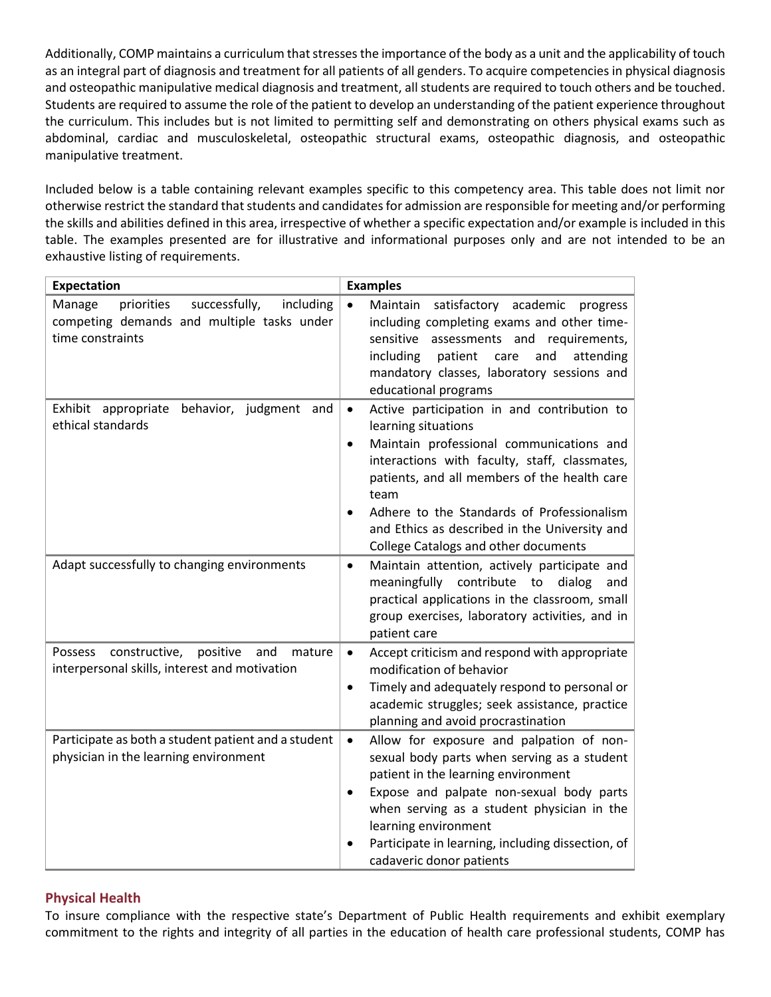Additionally, COMP maintains a curriculum that stresses the importance of the body as a unit and the applicability of touch as an integral part of diagnosis and treatment for all patients of all genders. To acquire competencies in physical diagnosis and osteopathic manipulative medical diagnosis and treatment, all students are required to touch others and be touched. Students are required to assume the role of the patient to develop an understanding of the patient experience throughout the curriculum. This includes but is not limited to permitting self and demonstrating on others physical exams such as abdominal, cardiac and musculoskeletal, osteopathic structural exams, osteopathic diagnosis, and osteopathic manipulative treatment.

Included below is a table containing relevant examples specific to this competency area. This table does not limit nor otherwise restrict the standard that students and candidates for admission are responsible for meeting and/or performing the skills and abilities defined in this area, irrespective of whether a specific expectation and/or example is included in this table. The examples presented are for illustrative and informational purposes only and are not intended to be an exhaustive listing of requirements.

| <b>Expectation</b>                                                                                                   | <b>Examples</b>                                                                                                                                                                                                                                                                                                                                                                                       |
|----------------------------------------------------------------------------------------------------------------------|-------------------------------------------------------------------------------------------------------------------------------------------------------------------------------------------------------------------------------------------------------------------------------------------------------------------------------------------------------------------------------------------------------|
| successfully,<br>including<br>Manage<br>priorities<br>competing demands and multiple tasks under<br>time constraints | Maintain<br>$\bullet$<br>satisfactory academic<br>progress<br>including completing exams and other time-<br>sensitive assessments and requirements,<br>including<br>patient<br>and<br>attending<br>care<br>mandatory classes, laboratory sessions and<br>educational programs                                                                                                                         |
| behavior, judgment and<br>Exhibit appropriate<br>ethical standards                                                   | Active participation in and contribution to<br>$\bullet$<br>learning situations<br>Maintain professional communications and<br>$\bullet$<br>interactions with faculty, staff, classmates,<br>patients, and all members of the health care<br>team<br>Adhere to the Standards of Professionalism<br>$\bullet$<br>and Ethics as described in the University and<br>College Catalogs and other documents |
| Adapt successfully to changing environments                                                                          | Maintain attention, actively participate and<br>$\bullet$<br>meaningfully contribute<br>to<br>dialog<br>and<br>practical applications in the classroom, small<br>group exercises, laboratory activities, and in<br>patient care                                                                                                                                                                       |
| constructive,<br>positive<br>Possess<br>and<br>mature<br>interpersonal skills, interest and motivation               | Accept criticism and respond with appropriate<br>$\bullet$<br>modification of behavior<br>Timely and adequately respond to personal or<br>$\bullet$<br>academic struggles; seek assistance, practice<br>planning and avoid procrastination                                                                                                                                                            |
| Participate as both a student patient and a student<br>physician in the learning environment                         | Allow for exposure and palpation of non-<br>$\bullet$<br>sexual body parts when serving as a student<br>patient in the learning environment<br>Expose and palpate non-sexual body parts<br>$\bullet$<br>when serving as a student physician in the<br>learning environment<br>Participate in learning, including dissection, of<br>$\bullet$<br>cadaveric donor patients                              |

### **Physical Health**

To insure compliance with the respective state's Department of Public Health requirements and exhibit exemplary commitment to the rights and integrity of all parties in the education of health care professional students, COMP has